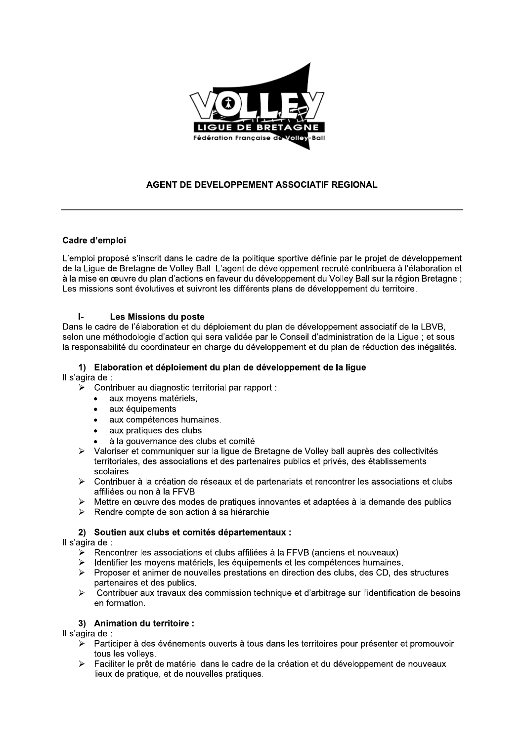

## AGENT DE DEVELOPPEMENT ASSOCIATIF REGIONAL

### Cadre d'emploi

L'emploi proposé s'inscrit dans le cadre de la politique sportive définie par le projet de développement de la Ligue de Bretagne de Volley Ball. L'agent de développement recruté contribuera à l'élaboration et à la mise en œuvre du plan d'actions en faveur du développement du Volley Ball sur la région Bretagne ; Les missions sont évolutives et suivront les différents plans de développement du territoire.

#### $\mathbf{L}$ Les Missions du poste

Dans le cadre de l'élaboration et du déploiement du plan de développement associatif de la LBVB. selon une méthodologie d'action qui sera validée par le Conseil d'administration de la Lique ; et sous la responsabilité du coordinateur en charge du développement et du plan de réduction des inégalités.

# 1) Elaboration et déploiement du plan de développement de la ligue

Il s'agira de :

- Contribuer au diagnostic territorial par rapport :  $\blacktriangleright$ 
	- aux moyens matériels,  $\bullet$
	- aux équipements
	- aux compétences humaines.
	- aux pratiques des clubs
	- à la gouvernance des clubs et comité
- > Valoriser et communiquer sur la ligue de Bretagne de Volley ball auprès des collectivités territoriales, des associations et des partenaires publics et privés, des établissements scolaires.
- ► Contribuer à la création de réseaux et de partenariats et rencontrer les associations et clubs affiliées ou non à la FFVB
- > Mettre en œuvre des modes de pratiques innovantes et adaptées à la demande des publics
- $\triangleright$  Rendre compte de son action à sa hiérarchie

## 2) Soutien aux clubs et comités départementaux :

Il s'agira de :

- ► Rencontrer les associations et clubs affiliées à la FFVB (anciens et nouveaux)
- Identifier les moyens matériels, les équipements et les compétences humaines.  $\blacktriangleright$
- $\triangleright$  Proposer et animer de nouvelles prestations en direction des clubs, des CD, des structures partenaires et des publics.
- $\blacktriangleright$ Contribuer aux travaux des commission technique et d'arbitrage sur l'identification de besoins en formation.

### 3) Animation du territoire :

Il s'agira de :

- > Participer à des événements ouverts à tous dans les territoires pour présenter et promouvoir tous les vollevs.
- Faciliter le prêt de matériel dans le cadre de la création et du développement de nouveaux  $\blacktriangleright$ lieux de pratique, et de nouvelles pratiques.